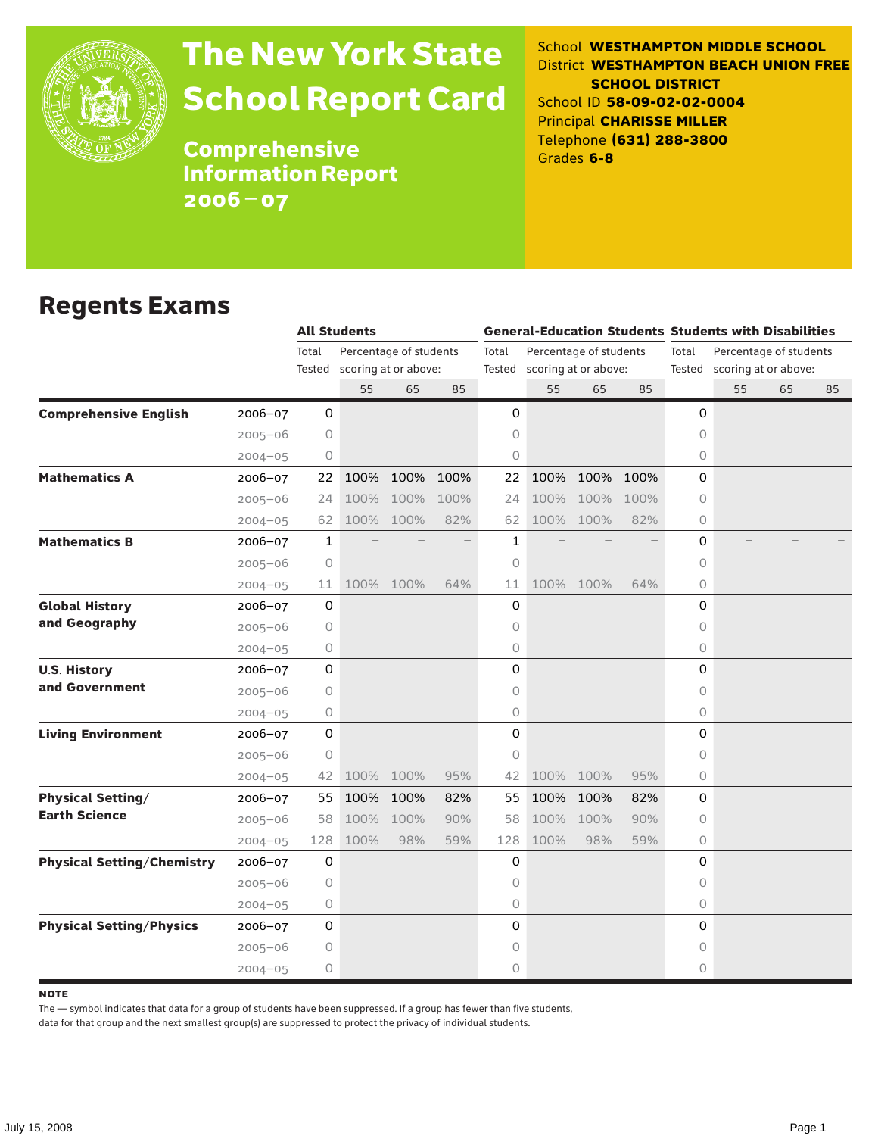

# The New York State School Report Card

School **WESTHAMPTON MIDDLE SCHOOL** District **WESTHAMPTON BEACH UNION FREE SCHOOL DISTRICT** School ID **58-09-02-02-0004** Principal **CHARISSE MILLER** Telephone **(631) 288-3800** Grades **6-8**

**Comprehensive** Information Report 2006–07

### Regents Exams

|                                   |             |             | <b>All Students</b>  |                        |      |       |                             |           |      | <b>General-Education Students Students with Disabilities</b>   |    |    |    |  |
|-----------------------------------|-------------|-------------|----------------------|------------------------|------|-------|-----------------------------|-----------|------|----------------------------------------------------------------|----|----|----|--|
|                                   |             | Total       |                      | Percentage of students |      | Total | Percentage of students      |           |      | Total<br>Percentage of students<br>Tested scoring at or above: |    |    |    |  |
|                                   |             | Tested      | scoring at or above: |                        |      |       | Tested scoring at or above: |           |      |                                                                |    |    |    |  |
|                                   |             |             | 55                   | 65                     | 85   |       | 55                          | 65        | 85   |                                                                | 55 | 65 | 85 |  |
| <b>Comprehensive English</b>      | 2006-07     | $\mathbf 0$ |                      |                        |      | 0     |                             |           |      | 0                                                              |    |    |    |  |
|                                   | $2005 - 06$ | 0           |                      |                        |      | 0     |                             |           |      | 0                                                              |    |    |    |  |
|                                   | $2004 - 05$ | 0           |                      |                        |      | 0     |                             |           |      | 0                                                              |    |    |    |  |
| <b>Mathematics A</b>              | 2006-07     | 22          | 100%                 | 100%                   | 100% | 22    | 100%                        | 100%      | 100% | $\Omega$                                                       |    |    |    |  |
|                                   | $2005 - 06$ | 24          | 100%                 | 100%                   | 100% | 24    | 100%                        | 100%      | 100% | 0                                                              |    |    |    |  |
|                                   | $2004 - 05$ | 62          | 100%                 | 100%                   | 82%  | 62    | 100%                        | 100%      | 82%  | 0                                                              |    |    |    |  |
| <b>Mathematics B</b>              | $2006 - 07$ | 1           |                      |                        |      | 1     |                             |           |      | 0                                                              |    |    |    |  |
|                                   | $2005 - 06$ | $\circ$     |                      |                        |      | 0     |                             |           |      | 0                                                              |    |    |    |  |
|                                   | $2004 - 05$ | 11          |                      | 100% 100%              | 64%  | 11    |                             | 100% 100% | 64%  | 0                                                              |    |    |    |  |
| <b>Global History</b>             | 2006-07     | 0           |                      |                        |      | 0     |                             |           |      | 0                                                              |    |    |    |  |
| and Geography                     | $2005 - 06$ | 0           |                      |                        |      | 0     |                             |           |      | 0                                                              |    |    |    |  |
|                                   | $2004 - 05$ | 0           |                      |                        |      | 0     |                             |           |      | 0                                                              |    |    |    |  |
| <b>U.S. History</b>               | 2006-07     | 0           |                      |                        |      | 0     |                             |           |      | $\Omega$                                                       |    |    |    |  |
| and Government                    | $2005 - 06$ | 0           |                      |                        |      | 0     |                             |           |      | $\Omega$                                                       |    |    |    |  |
|                                   | $2004 - 05$ | 0           |                      |                        |      | 0     |                             |           |      | 0                                                              |    |    |    |  |
| <b>Living Environment</b>         | $2006 - 07$ | 0           |                      |                        |      | 0     |                             |           |      | $\Omega$                                                       |    |    |    |  |
|                                   | $2005 - 06$ | 0           |                      |                        |      | 0     |                             |           |      | $\Omega$                                                       |    |    |    |  |
|                                   | $2004 - 05$ | 42          | 100%                 | 100%                   | 95%  | 42    | 100%                        | 100%      | 95%  | 0                                                              |    |    |    |  |
| <b>Physical Setting/</b>          | $2006 - 07$ | 55          | 100%                 | 100%                   | 82%  | 55    | 100%                        | 100%      | 82%  | 0                                                              |    |    |    |  |
| <b>Earth Science</b>              | $2005 - 06$ | 58          | 100%                 | 100%                   | 90%  | 58    | 100%                        | 100%      | 90%  | 0                                                              |    |    |    |  |
|                                   | $2004 - 05$ | 128         | 100%                 | 98%                    | 59%  | 128   | 100%                        | 98%       | 59%  | 0                                                              |    |    |    |  |
| <b>Physical Setting/Chemistry</b> | 2006-07     | 0           |                      |                        |      | 0     |                             |           |      | $\Omega$                                                       |    |    |    |  |
|                                   | $2005 - 06$ | 0           |                      |                        |      | 0     |                             |           |      | $\Omega$                                                       |    |    |    |  |
|                                   | $2004 - 05$ | 0           |                      |                        |      | 0     |                             |           |      | 0                                                              |    |    |    |  |
| <b>Physical Setting/Physics</b>   | $2006 - 07$ | 0           |                      |                        |      | 0     |                             |           |      | 0                                                              |    |    |    |  |
|                                   | $2005 - 06$ | 0           |                      |                        |      | 0     |                             |           |      | 0                                                              |    |    |    |  |
|                                   | $2004 - 05$ | 0           |                      |                        |      | 0     |                             |           |      | 0                                                              |    |    |    |  |

**NOTE** 

The — symbol indicates that data for a group of students have been suppressed. If a group has fewer than five students,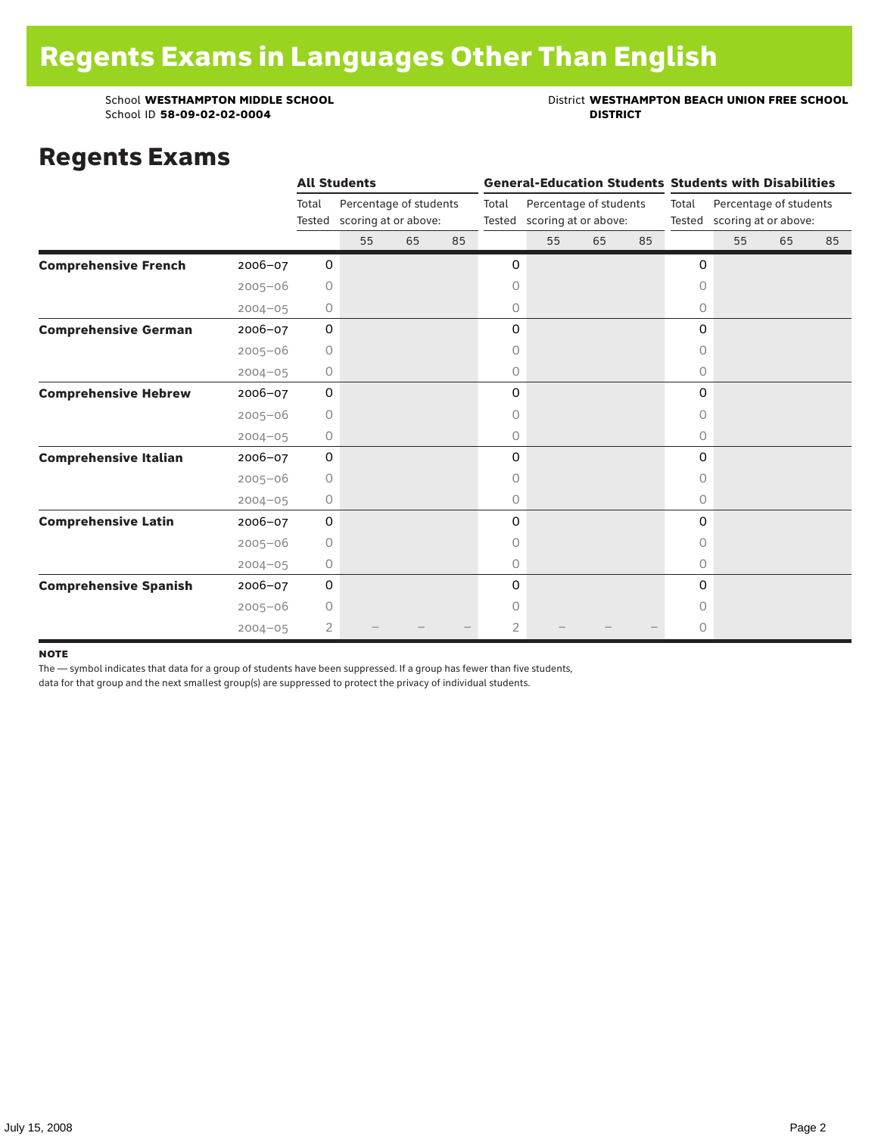## School **WESTHAMPTON MIDDLE SCHOOL**<br>School ID 58-09-02-020404<br>DISTRICT DISTRICT

### Regents Exams

|                              |             |         | <b>All Students</b>                                   |    |    |                |    |                                                       |    | <b>General-Education Students Students with Disabilities</b> |                                                       |    |    |  |
|------------------------------|-------------|---------|-------------------------------------------------------|----|----|----------------|----|-------------------------------------------------------|----|--------------------------------------------------------------|-------------------------------------------------------|----|----|--|
|                              |             | Total   | Percentage of students<br>Tested scoring at or above: |    |    | Total          |    | Percentage of students<br>Tested scoring at or above: |    | Total                                                        | Percentage of students<br>Tested scoring at or above: |    |    |  |
|                              |             |         | 55                                                    | 65 | 85 |                | 55 | 65                                                    | 85 |                                                              | 55                                                    | 65 | 85 |  |
| <b>Comprehensive French</b>  | $2006 - 07$ | 0       |                                                       |    |    | 0              |    |                                                       |    | 0                                                            |                                                       |    |    |  |
|                              | $2005 - 06$ | 0       |                                                       |    |    | 0              |    |                                                       |    | $\circ$                                                      |                                                       |    |    |  |
|                              | $2004 - 05$ | 0       |                                                       |    |    | 0              |    |                                                       |    | 0                                                            |                                                       |    |    |  |
| <b>Comprehensive German</b>  | $2006 - 07$ | 0       |                                                       |    |    | 0              |    |                                                       |    | 0                                                            |                                                       |    |    |  |
|                              | $2005 - 06$ | 0       |                                                       |    |    | 0              |    |                                                       |    | 0                                                            |                                                       |    |    |  |
|                              | $2004 - 05$ | $\circ$ |                                                       |    |    | 0              |    |                                                       |    | 0                                                            |                                                       |    |    |  |
| <b>Comprehensive Hebrew</b>  | 2006-07     | 0       |                                                       |    |    | 0              |    |                                                       |    | 0                                                            |                                                       |    |    |  |
|                              | $2005 - 06$ | 0       |                                                       |    |    | 0              |    |                                                       |    | 0                                                            |                                                       |    |    |  |
|                              | $2004 - 05$ | 0       |                                                       |    |    | 0              |    |                                                       |    | 0                                                            |                                                       |    |    |  |
| <b>Comprehensive Italian</b> | 2006-07     | 0       |                                                       |    |    | 0              |    |                                                       |    | 0                                                            |                                                       |    |    |  |
|                              | $2005 - 06$ | 0       |                                                       |    |    | 0              |    |                                                       |    | 0                                                            |                                                       |    |    |  |
|                              | $2004 - 05$ | $\circ$ |                                                       |    |    | 0              |    |                                                       |    | 0                                                            |                                                       |    |    |  |
| <b>Comprehensive Latin</b>   | 2006-07     | 0       |                                                       |    |    | 0              |    |                                                       |    | 0                                                            |                                                       |    |    |  |
|                              | $2005 - 06$ | $\circ$ |                                                       |    |    | 0              |    |                                                       |    | 0                                                            |                                                       |    |    |  |
|                              | $2004 - 05$ | $\circ$ |                                                       |    |    | $\circ$        |    |                                                       |    | $\circ$                                                      |                                                       |    |    |  |
| <b>Comprehensive Spanish</b> | 2006-07     | 0       |                                                       |    |    | 0              |    |                                                       |    | 0                                                            |                                                       |    |    |  |
|                              | $2005 - 06$ | 0       |                                                       |    |    | 0              |    |                                                       |    | 0                                                            |                                                       |    |    |  |
|                              | $2004 - 05$ | 2       |                                                       |    |    | $\overline{2}$ |    |                                                       |    | 0                                                            |                                                       |    |    |  |

#### note

The — symbol indicates that data for a group of students have been suppressed. If a group has fewer than five students,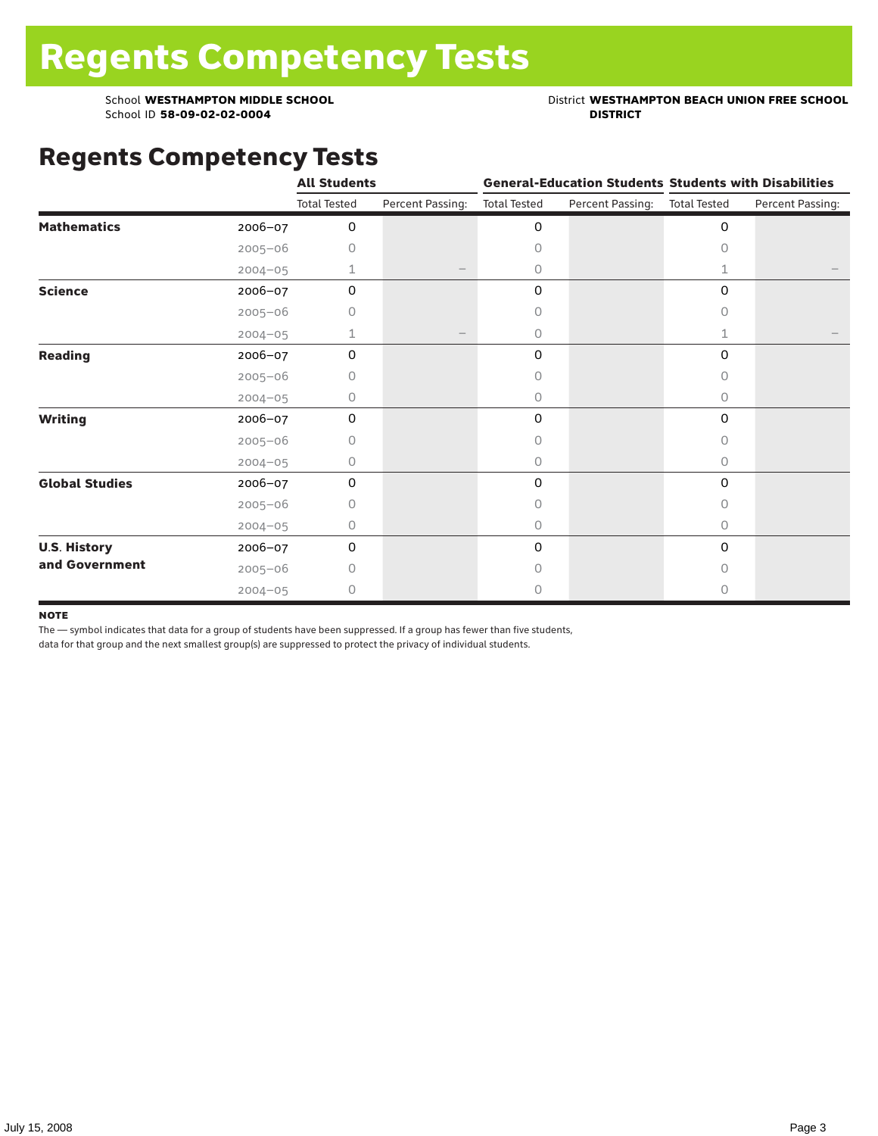School **WESTHAMPTON MIDDLE SCHOOL**<br>School ID 58-09-02-020404<br>DISTRICT DISTRICT

### Regents Competency Tests

|                       |             | <b>All Students</b> |                  |                     |                  | <b>General-Education Students Students with Disabilities</b> |                  |  |
|-----------------------|-------------|---------------------|------------------|---------------------|------------------|--------------------------------------------------------------|------------------|--|
|                       |             | <b>Total Tested</b> | Percent Passing: | <b>Total Tested</b> | Percent Passing: | <b>Total Tested</b>                                          | Percent Passing: |  |
| <b>Mathematics</b>    | 2006-07     | 0                   |                  | 0                   |                  | 0                                                            |                  |  |
|                       | $2005 - 06$ | 0                   |                  | $\Omega$            |                  | <sup>n</sup>                                                 |                  |  |
|                       | $2004 - 05$ | 1                   |                  | 0                   |                  | 1                                                            |                  |  |
| <b>Science</b>        | 2006-07     | 0                   |                  | 0                   |                  | 0                                                            |                  |  |
|                       | $2005 - 06$ | 0                   |                  | 0                   |                  | 0                                                            |                  |  |
|                       | $2004 - 05$ | 1                   |                  | 0                   |                  | $\mathbf{1}$                                                 |                  |  |
| Reading               | 2006-07     | 0                   |                  | 0                   |                  | 0                                                            |                  |  |
|                       | $2005 - 06$ | 0                   |                  | 0                   |                  | 0                                                            |                  |  |
|                       | $2004 - 05$ | 0                   |                  | $\circ$             |                  | 0                                                            |                  |  |
| <b>Writing</b>        | $2006 - 07$ | 0                   |                  | 0                   |                  | 0                                                            |                  |  |
|                       | $2005 - 06$ | 0                   |                  | 0                   |                  | 0                                                            |                  |  |
|                       | $2004 - 05$ | 0                   |                  | $\circ$             |                  | $\circ$                                                      |                  |  |
| <b>Global Studies</b> | 2006-07     | 0                   |                  | 0                   |                  | 0                                                            |                  |  |
|                       | $2005 - 06$ | 0                   |                  | $\circ$             |                  | 0                                                            |                  |  |
|                       | $2004 - 05$ | 0                   |                  | $\circ$             |                  | 0                                                            |                  |  |
| <b>U.S. History</b>   | 2006-07     | 0                   |                  | 0                   |                  | 0                                                            |                  |  |
| and Government        | $2005 - 06$ | $\bigcap$           |                  | $\bigcap$           |                  | 0                                                            |                  |  |
|                       | $2004 - 05$ | 0                   |                  | 0                   |                  | 0                                                            |                  |  |

#### **NOTE**

The — symbol indicates that data for a group of students have been suppressed. If a group has fewer than five students,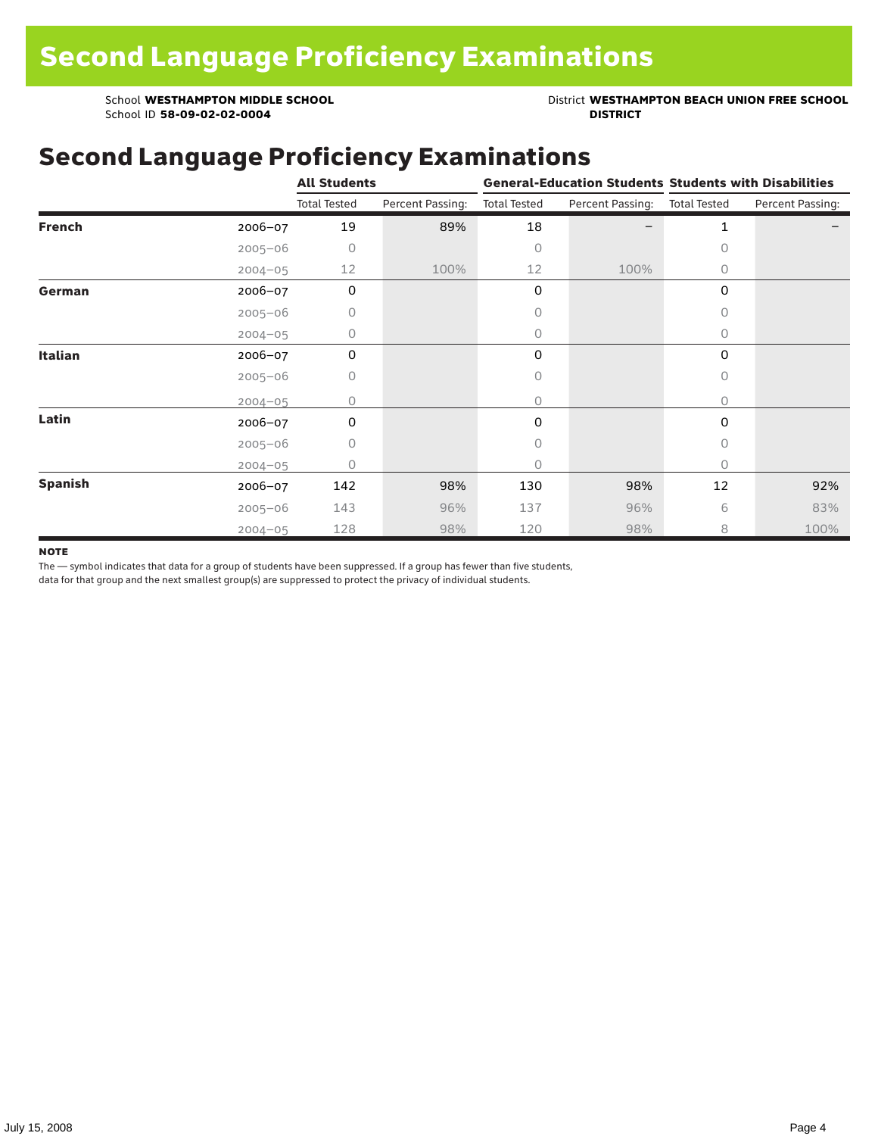School **WESTHAMPTON MIDDLE SCHOOL**<br>School ID 58-09-02-020404<br>**DISTRICT** DISTRICT

## Second Language Proficiency Examinations

|                |             | <b>All Students</b> |                  |                     |                  | <b>General-Education Students Students with Disabilities</b> |                  |  |  |
|----------------|-------------|---------------------|------------------|---------------------|------------------|--------------------------------------------------------------|------------------|--|--|
|                |             | <b>Total Tested</b> | Percent Passing: | <b>Total Tested</b> | Percent Passing: | <b>Total Tested</b>                                          | Percent Passing: |  |  |
| <b>French</b>  | 2006-07     | 19                  | 89%              | 18                  |                  | $\mathbf{1}$                                                 |                  |  |  |
|                | $2005 - 06$ | 0                   |                  | $\circ$             |                  | 0                                                            |                  |  |  |
|                | $2004 - 05$ | 12                  | 100%             | 12                  | 100%             | 0                                                            |                  |  |  |
| German         | 2006-07     | 0                   |                  | 0                   |                  | 0                                                            |                  |  |  |
|                | $2005 - 06$ | 0                   |                  | $\circ$             |                  | 0                                                            |                  |  |  |
|                | $2004 - 05$ | 0                   |                  | $\circ$             |                  | $\circ$                                                      |                  |  |  |
| <b>Italian</b> | 2006-07     | 0                   |                  | 0                   |                  | 0                                                            |                  |  |  |
|                | $2005 - 06$ | 0                   |                  | $\circ$             |                  | 0                                                            |                  |  |  |
|                | $2004 - 05$ | 0                   |                  | $\circ$             |                  | 0                                                            |                  |  |  |
| Latin          | 2006-07     | 0                   |                  | 0                   |                  | 0                                                            |                  |  |  |
|                | $2005 - 06$ | 0                   |                  | 0                   |                  | 0                                                            |                  |  |  |
|                | $2004 - 05$ | Ω                   |                  | $\circ$             |                  | 0                                                            |                  |  |  |
| <b>Spanish</b> | 2006-07     | 142                 | 98%              | 130                 | 98%              | 12                                                           | 92%              |  |  |
|                | $2005 - 06$ | 143                 | 96%              | 137                 | 96%              | 6                                                            | 83%              |  |  |
|                | $2004 - 05$ | 128                 | 98%              | 120                 | 98%              | 8                                                            | 100%             |  |  |

#### **NOTE**

The — symbol indicates that data for a group of students have been suppressed. If a group has fewer than five students,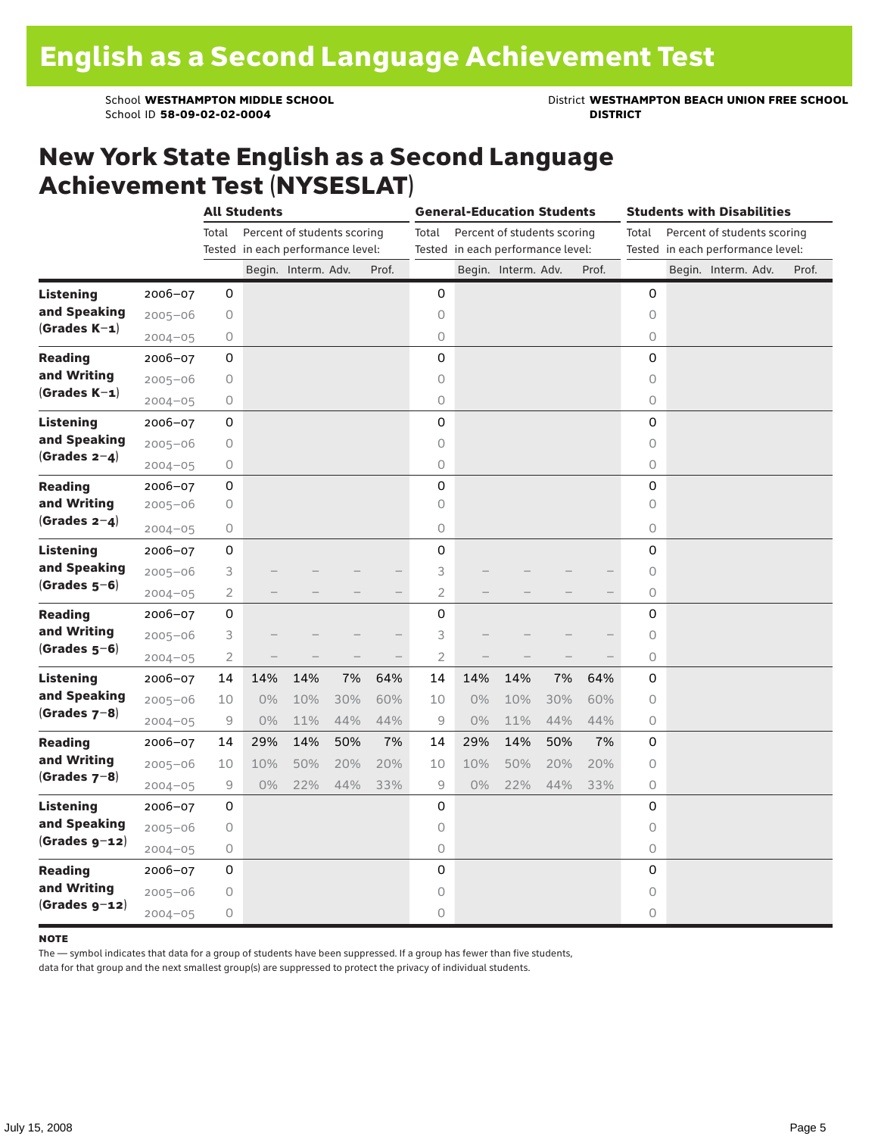School **WESTHAMPTON MIDDLE SCHOOL**<br>School ID 58-09-02-020404<br>**DISTRICT** DISTRICT

### New York State English as a Second Language Achievement Test (NYSESLAT)

|                  |             | <b>All Students</b>                                       |                                   |                             |     | <b>General-Education Students</b> |                |     |                                   |     | <b>Students with Disabilities</b> |          |                                   |  |                             |  |       |
|------------------|-------------|-----------------------------------------------------------|-----------------------------------|-----------------------------|-----|-----------------------------------|----------------|-----|-----------------------------------|-----|-----------------------------------|----------|-----------------------------------|--|-----------------------------|--|-------|
|                  |             | Total                                                     |                                   | Percent of students scoring |     |                                   | Total          |     | Percent of students scoring       |     |                                   | Total    |                                   |  | Percent of students scoring |  |       |
|                  |             |                                                           | Tested in each performance level: |                             |     |                                   |                |     | Tested in each performance level: |     |                                   |          | Tested in each performance level: |  |                             |  |       |
|                  |             |                                                           |                                   | Begin. Interm. Adv.         |     | Prof.                             |                |     | Begin. Interm. Adv.               |     | Prof.                             |          |                                   |  | Begin. Interm. Adv.         |  | Prof. |
| <b>Listening</b> | 2006-07     | 0                                                         |                                   |                             |     |                                   | 0              |     |                                   |     |                                   | 0        |                                   |  |                             |  |       |
| and Speaking     | $2005 - 06$ | 0                                                         |                                   |                             |     |                                   | 0              |     |                                   |     |                                   | $\circ$  |                                   |  |                             |  |       |
| $(Grades K-1)$   | $2004 - 05$ | 0                                                         |                                   |                             |     |                                   | $\bigcirc$     |     |                                   |     |                                   | $\circ$  |                                   |  |                             |  |       |
| <b>Reading</b>   | 2006-07     | 0                                                         |                                   |                             |     |                                   | 0              |     |                                   |     |                                   | 0        |                                   |  |                             |  |       |
| and Writing      | $2005 - 06$ | 0                                                         |                                   |                             |     |                                   | $\circ$        |     |                                   |     |                                   | $\circ$  |                                   |  |                             |  |       |
| $(Grades K-1)$   | $2004 - 05$ | $\circ$                                                   |                                   |                             |     |                                   | $\circ$        |     |                                   |     |                                   | $\circ$  |                                   |  |                             |  |       |
| <b>Listening</b> | $2006 - 07$ | 0                                                         |                                   |                             |     |                                   | 0              |     |                                   |     |                                   | $\Omega$ |                                   |  |                             |  |       |
| and Speaking     | $2005 - 06$ | 0                                                         |                                   |                             |     |                                   | $\circ$        |     |                                   |     |                                   | $\circ$  |                                   |  |                             |  |       |
| $(Grades 2-4)$   | $2004 - 05$ | $\mathsf O$                                               |                                   |                             |     |                                   | $\bigcirc$     |     |                                   |     |                                   | $\circ$  |                                   |  |                             |  |       |
| <b>Reading</b>   | $2006 - 07$ | 0                                                         |                                   |                             |     |                                   | 0              |     |                                   |     |                                   | 0        |                                   |  |                             |  |       |
| and Writing      | $2005 - 06$ | 0                                                         |                                   |                             |     |                                   | 0              |     |                                   |     |                                   | $\circ$  |                                   |  |                             |  |       |
| $(Grades 2-4)$   | $2004 - 05$ | 0                                                         |                                   |                             |     |                                   | $\circ$        |     |                                   |     |                                   | $\circ$  |                                   |  |                             |  |       |
| Listening        | 2006-07     | 0                                                         |                                   |                             |     |                                   | 0              |     |                                   |     |                                   | 0        |                                   |  |                             |  |       |
| and Speaking     | $2005 - 06$ | 3                                                         |                                   |                             |     |                                   | 3              |     |                                   |     |                                   | 0        |                                   |  |                             |  |       |
| $(Grades 5-6)$   | $2004 - 05$ | $\overline{2}$                                            |                                   |                             |     |                                   | $\overline{c}$ |     |                                   |     |                                   | 0        |                                   |  |                             |  |       |
| <b>Reading</b>   | $2006 - 07$ | 0                                                         |                                   |                             |     |                                   | 0              |     |                                   |     |                                   | 0        |                                   |  |                             |  |       |
| and Writing      | $2005 - 06$ | 3                                                         |                                   |                             |     |                                   | 3              |     |                                   |     |                                   | $\circ$  |                                   |  |                             |  |       |
| $(Grades 5-6)$   | $2004 - 05$ | $\overline{2}$                                            |                                   |                             |     |                                   | $\overline{2}$ |     |                                   |     |                                   | $\circ$  |                                   |  |                             |  |       |
| Listening        | $2006 - 07$ | 14                                                        | 14%                               | 14%                         | 7%  | 64%                               | 14             | 14% | 14%                               | 7%  | 64%                               | 0        |                                   |  |                             |  |       |
| and Speaking     | $2005 - 06$ | 10                                                        | $0\%$                             | 10%                         | 30% | 60%                               | 10             | 0%  | 10%                               | 30% | 60%                               | $\circ$  |                                   |  |                             |  |       |
| $(Grades 7-8)$   | $2004 - 05$ | 9                                                         | 0%                                | 11%                         | 44% | 44%                               | 9              | 0%  | 11%                               | 44% | 44%                               | 0        |                                   |  |                             |  |       |
| <b>Reading</b>   | 2006-07     | 14                                                        | 29%                               | 14%                         | 50% | 7%                                | 14             | 29% | 14%                               | 50% | 7%                                | 0        |                                   |  |                             |  |       |
| and Writing      | $2005 - 06$ | 10                                                        | 10%                               | 50%                         | 20% | 20%                               | 10             | 10% | 50%                               | 20% | 20%                               | $\circ$  |                                   |  |                             |  |       |
| $(Grades 7-8)$   | $2004 - 05$ | $\mathcal{G}% _{M_{1},M_{2}}^{\alpha,\beta}(\varepsilon)$ | 0%                                | 22%                         | 44% | 33%                               | 9              | 0%  | 22%                               | 44% | 33%                               | $\circ$  |                                   |  |                             |  |       |
| Listening        | 2006-07     | 0                                                         |                                   |                             |     |                                   | 0              |     |                                   |     |                                   | 0        |                                   |  |                             |  |       |
| and Speaking     | $2005 - 06$ | 0                                                         |                                   |                             |     |                                   | $\circ$        |     |                                   |     |                                   | $\circ$  |                                   |  |                             |  |       |
| $(Grades g-12)$  | $2004 - 05$ | 0                                                         |                                   |                             |     |                                   | 0              |     |                                   |     |                                   | $\circ$  |                                   |  |                             |  |       |
| <b>Reading</b>   | $2006 - 07$ | 0                                                         |                                   |                             |     |                                   | 0              |     |                                   |     |                                   | 0        |                                   |  |                             |  |       |
| and Writing      | $2005 - 06$ | 0                                                         |                                   |                             |     |                                   | 0              |     |                                   |     |                                   | $\circ$  |                                   |  |                             |  |       |
| $(Grades g-12)$  | $2004 - 05$ | 0                                                         |                                   |                             |     |                                   | 0              |     |                                   |     |                                   | 0        |                                   |  |                             |  |       |

#### **NOTE**

The — symbol indicates that data for a group of students have been suppressed. If a group has fewer than five students,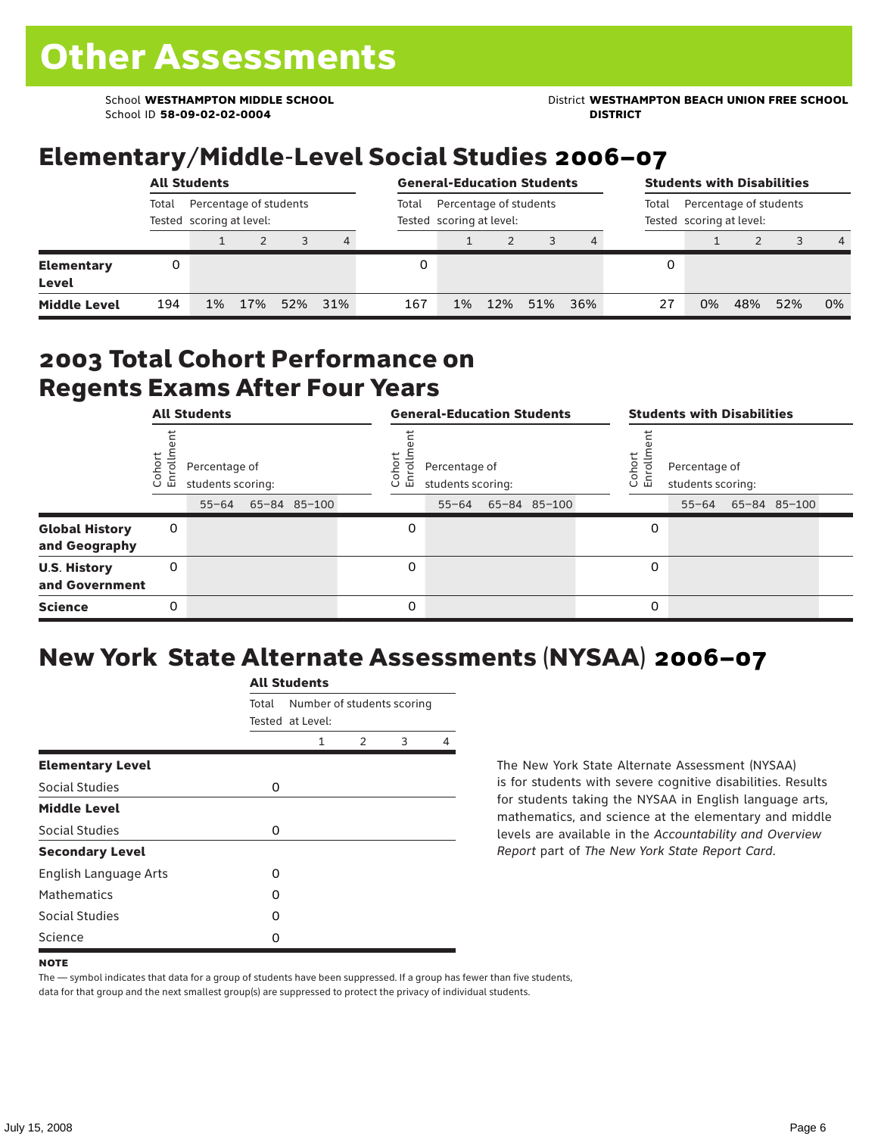School ID **58-09-02-02-0004 DISTRICT**

School **WESTHAMPTON MIDDLE SCHOOL** District **WESTHAMPTON BEACH UNION FREE SCHOOL**

# Elementary/Middle-Level Social Studies 2006–07

|                            | <b>All Students</b>                                         |    |     |     |     |       | <b>General-Education Students</b>                  |     |     |     |    |                                                             | <b>Students with Disabilities</b> |     |                |  |  |  |
|----------------------------|-------------------------------------------------------------|----|-----|-----|-----|-------|----------------------------------------------------|-----|-----|-----|----|-------------------------------------------------------------|-----------------------------------|-----|----------------|--|--|--|
|                            | Percentage of students<br>Total<br>Tested scoring at level: |    |     |     |     | Total | Percentage of students<br>Tested scoring at level: |     |     |     |    | Percentage of students<br>Total<br>Tested scoring at level: |                                   |     |                |  |  |  |
|                            |                                                             |    |     |     | 4   |       |                                                    |     |     |     |    |                                                             |                                   |     | $\overline{4}$ |  |  |  |
| <b>Elementary</b><br>Level | 0                                                           |    |     |     |     |       |                                                    |     |     |     | 0  |                                                             |                                   |     |                |  |  |  |
| <b>Middle Level</b>        | 194                                                         | 1% | 17% | 52% | 31% | 167   | 1%                                                 | 12% | 51% | 36% | 27 | 0%                                                          | 48%                               | 52% | 0%             |  |  |  |

### 2003 Total Cohort Performance on Regents Exams After Four Years

|                                        |                                                                                    | <b>All Students</b> |  |  |                                                                            | <b>General-Education Students</b> |           |  |  |                                                                               |   | <b>Students with Disabilities</b> |  |  |  |  |  |
|----------------------------------------|------------------------------------------------------------------------------------|---------------------|--|--|----------------------------------------------------------------------------|-----------------------------------|-----------|--|--|-------------------------------------------------------------------------------|---|-----------------------------------|--|--|--|--|--|
|                                        | Cohor<br>Enroll<br>Percentage of<br>students scoring:<br>65-84 85-100<br>$55 - 64$ |                     |  |  | Coho<br>Percentage of<br>$\circ$<br>ᇛ<br>students scoring:<br>65-84 85-100 |                                   |           |  |  | Cohort<br>Percentage of<br>o,<br>문<br>students scoring:<br>55-64 65-84 85-100 |   |                                   |  |  |  |  |  |
|                                        |                                                                                    |                     |  |  |                                                                            |                                   | $55 - 64$ |  |  |                                                                               |   |                                   |  |  |  |  |  |
| <b>Global History</b><br>and Geography | 0                                                                                  |                     |  |  |                                                                            | 0                                 |           |  |  |                                                                               | 0 |                                   |  |  |  |  |  |
| <b>U.S. History</b><br>and Government  | 0                                                                                  |                     |  |  |                                                                            | $\Omega$                          |           |  |  |                                                                               | 0 |                                   |  |  |  |  |  |
| <b>Science</b>                         | 0                                                                                  |                     |  |  |                                                                            | 0                                 |           |  |  |                                                                               | 0 |                                   |  |  |  |  |  |

# New York State Alternate Assessments (NYSAA) 2006–07

|                         | <b>All Students</b> |                                                |               |   |   |  |  |  |  |  |  |  |
|-------------------------|---------------------|------------------------------------------------|---------------|---|---|--|--|--|--|--|--|--|
|                         | Total               | Number of students scoring<br>Tested at Level: |               |   |   |  |  |  |  |  |  |  |
|                         |                     | 1                                              | $\mathcal{P}$ | 3 | 4 |  |  |  |  |  |  |  |
| <b>Elementary Level</b> |                     |                                                |               |   |   |  |  |  |  |  |  |  |
| Social Studies          | 0                   |                                                |               |   |   |  |  |  |  |  |  |  |
| <b>Middle Level</b>     |                     |                                                |               |   |   |  |  |  |  |  |  |  |
| <b>Social Studies</b>   | 0                   |                                                |               |   |   |  |  |  |  |  |  |  |
| <b>Secondary Level</b>  |                     |                                                |               |   |   |  |  |  |  |  |  |  |
| English Language Arts   | O                   |                                                |               |   |   |  |  |  |  |  |  |  |
| <b>Mathematics</b>      | O                   |                                                |               |   |   |  |  |  |  |  |  |  |
| <b>Social Studies</b>   | O                   |                                                |               |   |   |  |  |  |  |  |  |  |
| Science                 | O                   |                                                |               |   |   |  |  |  |  |  |  |  |

The New York State Alternate Assessment (NYSAA) is for students with severe cognitive disabilities. Results for students taking the NYSAA in English language arts, mathematics, and science at the elementary and middle levels are available in the *Accountability and Overview Report* part of *The New York State Report Card*.

The — symbol indicates that data for a group of students have been suppressed. If a group has fewer than five students, data for that group and the next smallest group(s) are suppressed to protect the privacy of individual students.

**NOTE**